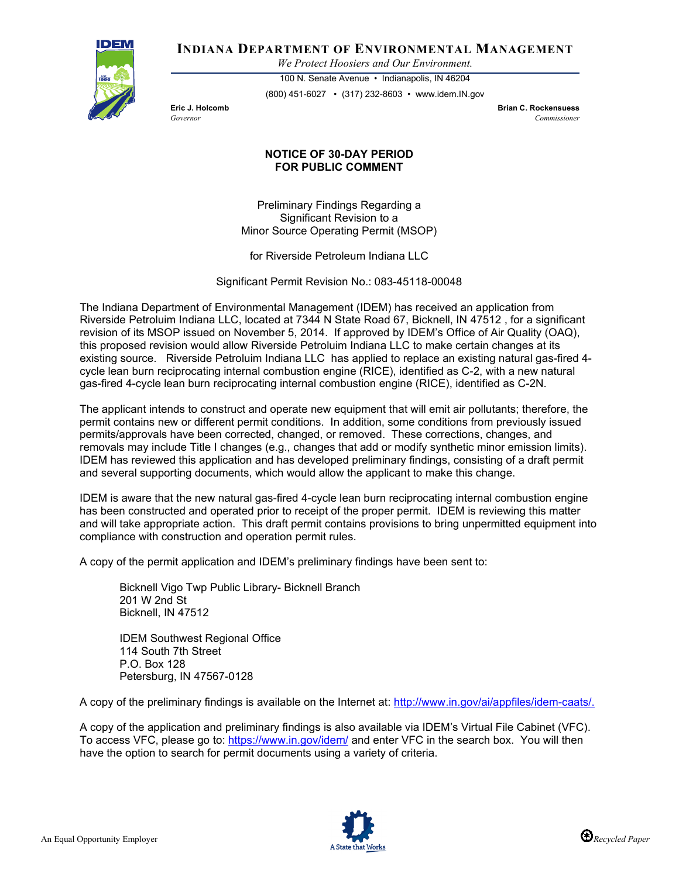

**INDIANA DEPARTMENT OF ENVIRONMENTAL MANAGEMENT**

*We Protect Hoosiers and Our Environment.*

100 N. Senate Avenue • Indianapolis, IN 46204 (800) 451-6027 • (317) 232-8603 • www.idem.IN.gov

**Eric J. Holcomb Brian C. Rockensuess** *Governor Commissioner* 

## **NOTICE OF 30-DAY PERIOD FOR PUBLIC COMMENT**

Preliminary Findings Regarding a Significant Revision to a Minor Source Operating Permit (MSOP)

for Riverside Petroleum Indiana LLC

Significant Permit Revision No.: 083-45118-00048

The Indiana Department of Environmental Management (IDEM) has received an application from Riverside Petroluim Indiana LLC, located at 7344 N State Road 67, Bicknell, IN 47512 , for a significant revision of its MSOP issued on November 5, 2014. If approved by IDEM's Office of Air Quality (OAQ), this proposed revision would allow Riverside Petroluim Indiana LLC to make certain changes at its existing source. Riverside Petroluim Indiana LLC has applied to replace an existing natural gas-fired 4 cycle lean burn reciprocating internal combustion engine (RICE), identified as C-2, with a new natural gas-fired 4-cycle lean burn reciprocating internal combustion engine (RICE), identified as C-2N.

The applicant intends to construct and operate new equipment that will emit air pollutants; therefore, the permit contains new or different permit conditions. In addition, some conditions from previously issued permits/approvals have been corrected, changed, or removed. These corrections, changes, and removals may include Title I changes (e.g., changes that add or modify synthetic minor emission limits). IDEM has reviewed this application and has developed preliminary findings, consisting of a draft permit and several supporting documents, which would allow the applicant to make this change.

IDEM is aware that the new natural gas-fired 4-cycle lean burn reciprocating internal combustion engine has been constructed and operated prior to receipt of the proper permit. IDEM is reviewing this matter and will take appropriate action. This draft permit contains provisions to bring unpermitted equipment into compliance with construction and operation permit rules.

A copy of the permit application and IDEM's preliminary findings have been sent to:

Bicknell Vigo Twp Public Library- Bicknell Branch 201 W 2nd St Bicknell, IN 47512

IDEM Southwest Regional Office 114 South 7th Street P.O. Box 128 Petersburg, IN 47567-0128

A copy of the preliminary findings is available on the Internet at: [http://www.in.gov/ai/appfiles/idem-caats/.](http://www.in.gov/ai/appfiles/idem-caats/)

A copy of the application and preliminary findings is also available via IDEM's Virtual File Cabinet (VFC). To access VFC, please go to:<https://www.in.gov/idem/> and enter VFC in the search box. You will then have the option to search for permit documents using a variety of criteria.

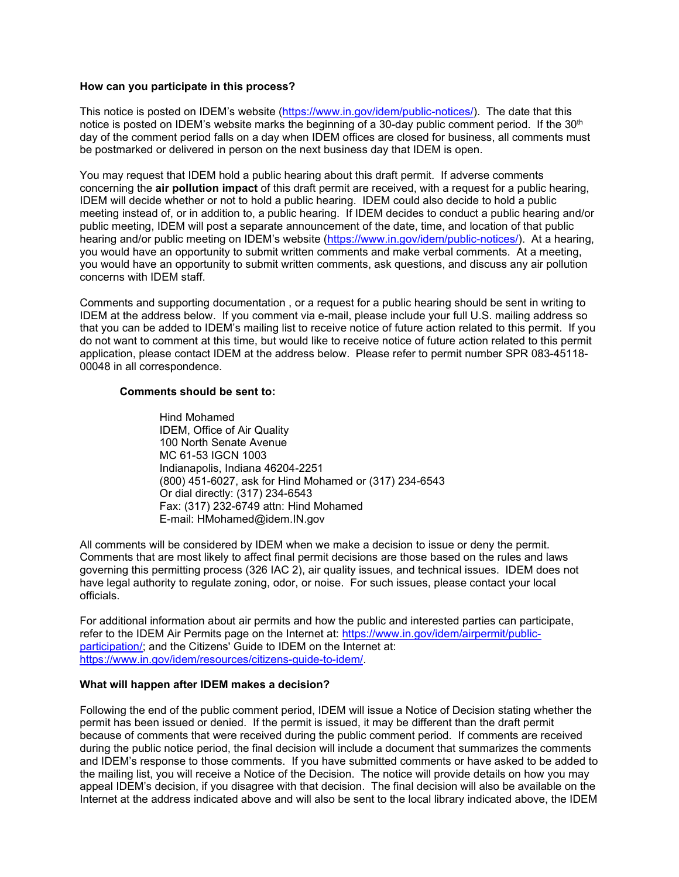## **How can you participate in this process?**

This notice is posted on IDEM's website [\(https://www.in.gov/idem/public-notices/\)](https://www.in.gov/idem/public-notices/). The date that this notice is posted on IDEM's website marks the beginning of a 30-day public comment period. If the 30<sup>th</sup> day of the comment period falls on a day when IDEM offices are closed for business, all comments must be postmarked or delivered in person on the next business day that IDEM is open.

You may request that IDEM hold a public hearing about this draft permit. If adverse comments concerning the **air pollution impact** of this draft permit are received, with a request for a public hearing, IDEM will decide whether or not to hold a public hearing. IDEM could also decide to hold a public meeting instead of, or in addition to, a public hearing. If IDEM decides to conduct a public hearing and/or public meeting, IDEM will post a separate announcement of the date, time, and location of that public hearing and/or public meeting on IDEM's website [\(https://www.in.gov/idem/public-notices/\)](https://www.in.gov/idem/public-notices/). At a hearing, you would have an opportunity to submit written comments and make verbal comments. At a meeting, you would have an opportunity to submit written comments, ask questions, and discuss any air pollution concerns with IDEM staff.

Comments and supporting documentation , or a request for a public hearing should be sent in writing to IDEM at the address below. If you comment via e-mail, please include your full U.S. mailing address so that you can be added to IDEM's mailing list to receive notice of future action related to this permit. If you do not want to comment at this time, but would like to receive notice of future action related to this permit application, please contact IDEM at the address below. Please refer to permit number SPR 083-45118- 00048 in all correspondence.

## **Comments should be sent to:**

Hind Mohamed IDEM, Office of Air Quality 100 North Senate Avenue MC 61-53 IGCN 1003 Indianapolis, Indiana 46204-2251 (800) 451-6027, ask for Hind Mohamed or (317) 234-6543 Or dial directly: (317) 234-6543 Fax: (317) 232-6749 attn: Hind Mohamed E-mail: HMohamed@idem.IN.gov

All comments will be considered by IDEM when we make a decision to issue or deny the permit. Comments that are most likely to affect final permit decisions are those based on the rules and laws governing this permitting process (326 IAC 2), air quality issues, and technical issues. IDEM does not have legal authority to regulate zoning, odor, or noise. For such issues, please contact your local officials.

For additional information about air permits and how the public and interested parties can participate, refer to the IDEM Air Permits page on the Internet at: [https://www.in.gov/idem/airpermit/public](https://www.in.gov/idem/airpermit/public-participation/)[participation/;](https://www.in.gov/idem/airpermit/public-participation/) and the Citizens' Guide to IDEM on the Internet at: [https://www.in.gov/idem/resources/citizens-guide-to-idem/.](https://www.in.gov/idem/resources/citizens-guide-to-idem/)

## **What will happen after IDEM makes a decision?**

Following the end of the public comment period, IDEM will issue a Notice of Decision stating whether the permit has been issued or denied. If the permit is issued, it may be different than the draft permit because of comments that were received during the public comment period. If comments are received during the public notice period, the final decision will include a document that summarizes the comments and IDEM's response to those comments. If you have submitted comments or have asked to be added to the mailing list, you will receive a Notice of the Decision. The notice will provide details on how you may appeal IDEM's decision, if you disagree with that decision. The final decision will also be available on the Internet at the address indicated above and will also be sent to the local library indicated above, the IDEM